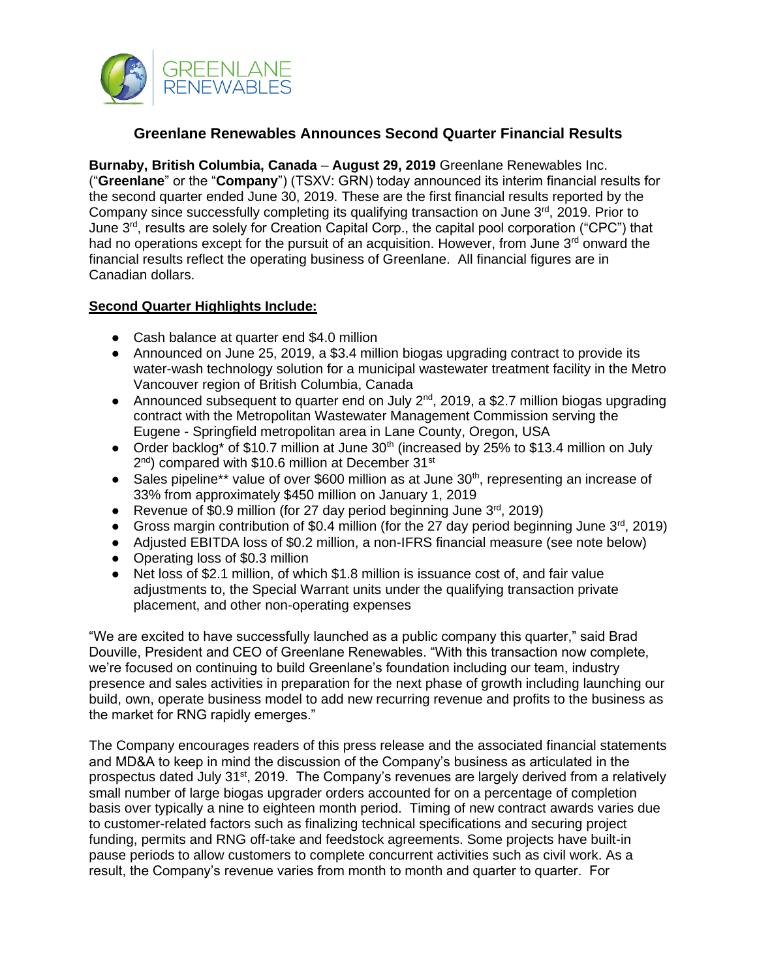

# **Greenlane Renewables Announces Second Quarter Financial Results**

**Burnaby, British Columbia, Canada** – **August 29, 2019** Greenlane Renewables Inc. ("**Greenlane**" or the "**Company**") (TSXV: GRN) today announced its interim financial results for the second quarter ended June 30, 2019. These are the first financial results reported by the Company since successfully completing its qualifying transaction on June 3<sup>rd</sup>, 2019. Prior to June 3 rd, results are solely for Creation Capital Corp., the capital pool corporation ("CPC") that had no operations except for the pursuit of an acquisition. However, from June  $3<sup>rd</sup>$  onward the financial results reflect the operating business of Greenlane. All financial figures are in Canadian dollars.

## **Second Quarter Highlights Include:**

- Cash balance at quarter end \$4.0 million
- Announced on June 25, 2019, a \$3.4 million biogas upgrading contract to provide its water-wash technology solution for a municipal wastewater treatment facility in the Metro Vancouver region of British Columbia, Canada
- Announced subsequent to quarter end on July 2<sup>nd</sup>, 2019, a \$2.7 million biogas upgrading contract with the Metropolitan Wastewater Management Commission serving the Eugene - Springfield metropolitan area in Lane County, Oregon, USA
- Order backlog\* of \$10.7 million at June  $30<sup>th</sup>$  (increased by 25% to \$13.4 million on July 2<sup>nd</sup>) compared with \$10.6 million at December 31<sup>st</sup>
- Sales pipeline\*\* value of over \$600 million as at June 30<sup>th</sup>, representing an increase of 33% from approximately \$450 million on January 1, 2019
- Revenue of \$0.9 million (for 27 day period beginning June  $3<sup>rd</sup>$ , 2019)
- Gross margin contribution of \$0.4 million (for the 27 day period beginning June  $3<sup>rd</sup>$ , 2019)
- Adjusted EBITDA loss of \$0.2 million, a non-IFRS financial measure (see note below)
- Operating loss of \$0.3 million
- Net loss of \$2.1 million, of which \$1.8 million is issuance cost of, and fair value adjustments to, the Special Warrant units under the qualifying transaction private placement, and other non-operating expenses

"We are excited to have successfully launched as a public company this quarter," said Brad Douville, President and CEO of Greenlane Renewables. "With this transaction now complete, we're focused on continuing to build Greenlane's foundation including our team, industry presence and sales activities in preparation for the next phase of growth including launching our build, own, operate business model to add new recurring revenue and profits to the business as the market for RNG rapidly emerges."

The Company encourages readers of this press release and the associated financial statements and MD&A to keep in mind the discussion of the Company's business as articulated in the prospectus dated July 31<sup>st</sup>, 2019. The Company's revenues are largely derived from a relatively small number of large biogas upgrader orders accounted for on a percentage of completion basis over typically a nine to eighteen month period. Timing of new contract awards varies due to customer-related factors such as finalizing technical specifications and securing project funding, permits and RNG off-take and feedstock agreements. Some projects have built-in pause periods to allow customers to complete concurrent activities such as civil work. As a result, the Company's revenue varies from month to month and quarter to quarter. For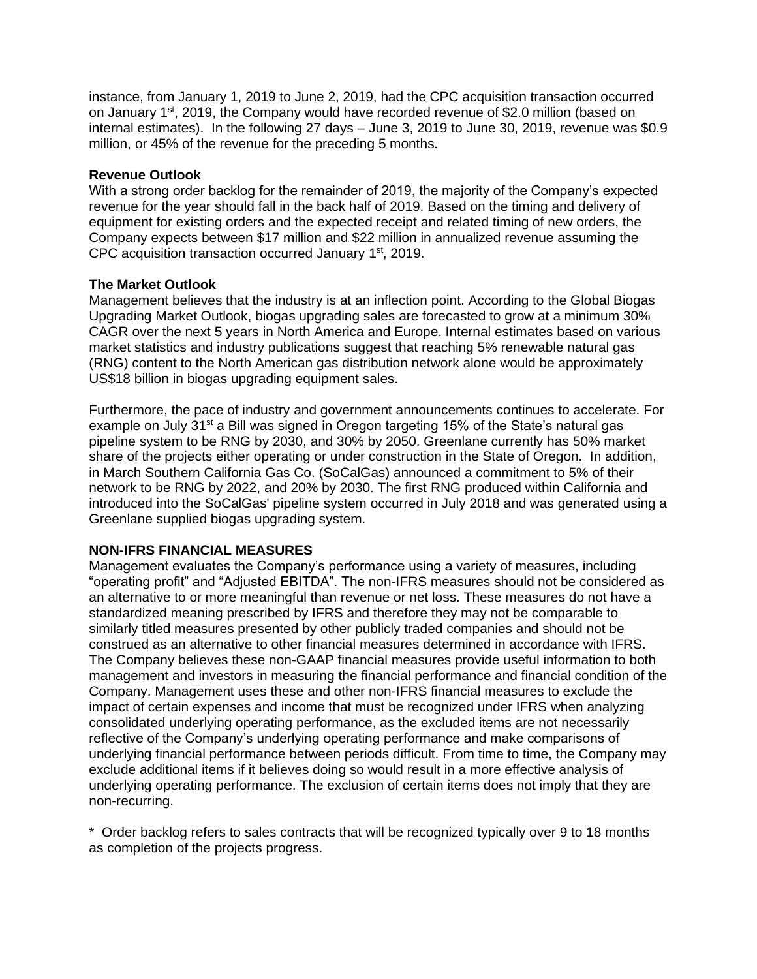instance, from January 1, 2019 to June 2, 2019, had the CPC acquisition transaction occurred on January 1<sup>st</sup>, 2019, the Company would have recorded revenue of \$2.0 million (based on internal estimates). In the following 27 days – June 3, 2019 to June 30, 2019, revenue was \$0.9 million, or 45% of the revenue for the preceding 5 months.

### **Revenue Outlook**

With a strong order backlog for the remainder of 2019, the majority of the Company's expected revenue for the year should fall in the back half of 2019. Based on the timing and delivery of equipment for existing orders and the expected receipt and related timing of new orders, the Company expects between \$17 million and \$22 million in annualized revenue assuming the CPC acquisition transaction occurred January 1<sup>st</sup>, 2019.

### **The Market Outlook**

Management believes that the industry is at an inflection point. According to the Global Biogas Upgrading Market Outlook, biogas upgrading sales are forecasted to grow at a minimum 30% CAGR over the next 5 years in North America and Europe. Internal estimates based on various market statistics and industry publications suggest that reaching 5% renewable natural gas (RNG) content to the North American gas distribution network alone would be approximately US\$18 billion in biogas upgrading equipment sales.

Furthermore, the pace of industry and government announcements continues to accelerate. For example on July 31<sup>st</sup> a Bill was signed in Oregon targeting 15% of the State's natural gas pipeline system to be RNG by 2030, and 30% by 2050. Greenlane currently has 50% market share of the projects either operating or under construction in the State of Oregon. In addition, in March Southern California Gas Co. (SoCalGas) announced a commitment to 5% of their network to be RNG by 2022, and 20% by 2030. The first RNG produced within California and introduced into the SoCalGas' pipeline system occurred in July 2018 and was generated using a Greenlane supplied biogas upgrading system.

## **NON-IFRS FINANCIAL MEASURES**

Management evaluates the Company's performance using a variety of measures, including "operating profit" and "Adjusted EBITDA". The non-IFRS measures should not be considered as an alternative to or more meaningful than revenue or net loss. These measures do not have a standardized meaning prescribed by IFRS and therefore they may not be comparable to similarly titled measures presented by other publicly traded companies and should not be construed as an alternative to other financial measures determined in accordance with IFRS. The Company believes these non-GAAP financial measures provide useful information to both management and investors in measuring the financial performance and financial condition of the Company. Management uses these and other non-IFRS financial measures to exclude the impact of certain expenses and income that must be recognized under IFRS when analyzing consolidated underlying operating performance, as the excluded items are not necessarily reflective of the Company's underlying operating performance and make comparisons of underlying financial performance between periods difficult. From time to time, the Company may exclude additional items if it believes doing so would result in a more effective analysis of underlying operating performance. The exclusion of certain items does not imply that they are non-recurring.

\* Order backlog refers to sales contracts that will be recognized typically over 9 to 18 months as completion of the projects progress.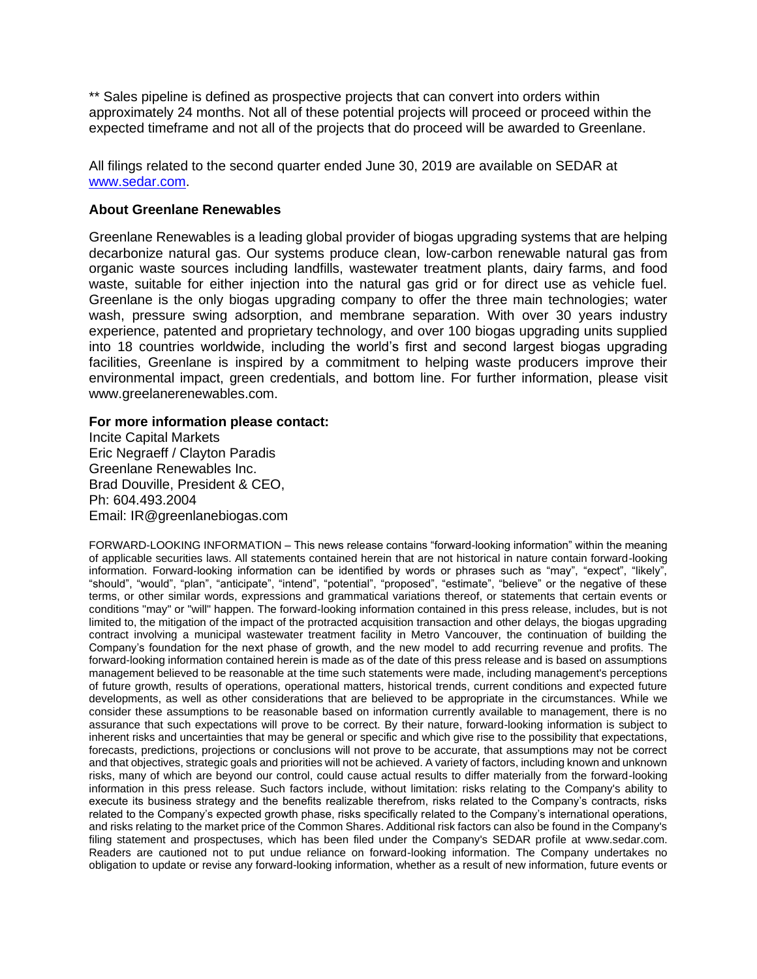\*\* Sales pipeline is defined as prospective projects that can convert into orders within approximately 24 months. Not all of these potential projects will proceed or proceed within the expected timeframe and not all of the projects that do proceed will be awarded to Greenlane.

All filings related to the second quarter ended June 30, 2019 are available on SEDAR at [www.sedar.com.](http://www.sedar.com/)

#### **About Greenlane Renewables**

Greenlane Renewables is a leading global provider of biogas upgrading systems that are helping decarbonize natural gas. Our systems produce clean, low-carbon renewable natural gas from organic waste sources including landfills, wastewater treatment plants, dairy farms, and food waste, suitable for either injection into the natural gas grid or for direct use as vehicle fuel. Greenlane is the only biogas upgrading company to offer the three main technologies; water wash, pressure swing adsorption, and membrane separation. With over 30 years industry experience, patented and proprietary technology, and over 100 biogas upgrading units supplied into 18 countries worldwide, including the world's first and second largest biogas upgrading facilities, Greenlane is inspired by a commitment to helping waste producers improve their environmental impact, green credentials, and bottom line. For further information, please visit www.greelanerenewables.com.

#### **For more information please contact:**

Incite Capital Markets Eric Negraeff / Clayton Paradis Greenlane Renewables Inc. Brad Douville, President & CEO, Ph: 604.493.2004 Email: IR@greenlanebiogas.com

FORWARD-LOOKING INFORMATION – This news release contains "forward-looking information" within the meaning of applicable securities laws. All statements contained herein that are not historical in nature contain forward-looking information. Forward-looking information can be identified by words or phrases such as "may", "expect", "likely", "should", "would", "plan", "anticipate", "intend", "potential", "proposed", "estimate", "believe" or the negative of these terms, or other similar words, expressions and grammatical variations thereof, or statements that certain events or conditions "may" or "will" happen. The forward-looking information contained in this press release, includes, but is not limited to, the mitigation of the impact of the protracted acquisition transaction and other delays, the biogas upgrading contract involving a municipal wastewater treatment facility in Metro Vancouver, the continuation of building the Company's foundation for the next phase of growth, and the new model to add recurring revenue and profits. The forward-looking information contained herein is made as of the date of this press release and is based on assumptions management believed to be reasonable at the time such statements were made, including management's perceptions of future growth, results of operations, operational matters, historical trends, current conditions and expected future developments, as well as other considerations that are believed to be appropriate in the circumstances. While we consider these assumptions to be reasonable based on information currently available to management, there is no assurance that such expectations will prove to be correct. By their nature, forward-looking information is subject to inherent risks and uncertainties that may be general or specific and which give rise to the possibility that expectations, forecasts, predictions, projections or conclusions will not prove to be accurate, that assumptions may not be correct and that objectives, strategic goals and priorities will not be achieved. A variety of factors, including known and unknown risks, many of which are beyond our control, could cause actual results to differ materially from the forward-looking information in this press release. Such factors include, without limitation: risks relating to the Company's ability to execute its business strategy and the benefits realizable therefrom, risks related to the Company's contracts, risks related to the Company's expected growth phase, risks specifically related to the Company's international operations, and risks relating to the market price of the Common Shares. Additional risk factors can also be found in the Company's filing statement and prospectuses, which has been filed under the Company's SEDAR profile at www.sedar.com. Readers are cautioned not to put undue reliance on forward-looking information. The Company undertakes no obligation to update or revise any forward-looking information, whether as a result of new information, future events or